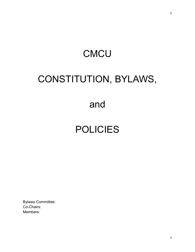# **CMCU** CONSTITUTION, BYLAWS,

### and

## POLICIES

Bylaws Committee: Co-Chairs: Members: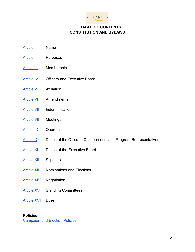

#### **TABLE OF CONTENTS CONSTITUTION AND BYLAWS**

- [Article I](#page-2-0) Name
- [Article II](#page-2-1) Purposes
- [Article III](#page-2-2) Membership
- [Article IV](#page-3-0) Officers and Executive Board
- [Article V](#page-4-0) Affiliation
- [Article VI](#page-4-1) Amendments
- **[Article VII](#page-4-2)** Indemnification
- [Article VIII](#page-4-3) Meetings
- [Article IX](#page-5-0) Quorum
- Article  $X$  Duties of the Officers, Chairpersons, and Program Representatives
- [Article XI](#page-8-0) Duties of the Executive Board
- [Article XII](#page-9-0) Stipends
- **[Article XIII](#page-9-1)** Nominations and Elections
- [Article XIV](#page-11-0) Negotiation
- [Article XV](#page-11-1) Standing Committees
- **[Article XVI](#page-13-0)** Dues

#### **Policies**

[Campaign and Election Policies](#page-14-0)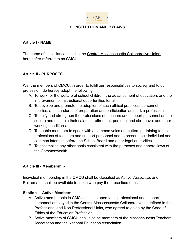

#### **CONSTITUTION AND BYLAWS**

#### <span id="page-2-0"></span>**Article I - NAME**

The name of this alliance shall be the Central Massachusetts Collaborative Union, hereinafter referred to as CMCU.

#### <span id="page-2-1"></span>**Article II - PURPOSES**

We, the members of CMCU, in order to fulfill our responsibilities to society and to our profession, do hereby adopt the following:

- A. To work for the welfare of school children, the advancement of education, and the improvement of instructional opportunities for all.
- B. To develop and promote the adoption of such ethical practices, personnel policies, and standards of preparation and participation as mark a profession.
- C. To unify and strengthen the professions of teachers and support personnel and to secure and maintain their salaries, retirement, personal and sick leave, and other working conditions.
- D. To enable members to speak with a common voice on matters pertaining to the professions of teachers and support personnel and to present their individual and common interests before the School Board and other legal authorities.
- E. To accomplish any other goals consistent with the purposes and general laws of the Commonwealth.

#### <span id="page-2-2"></span>**Article III - Membership**

Individual membership in the CMCU shall be classified as Active, Associate, and Retired and shall be available to those who pay the prescribed dues.

#### **Section 1- Active Members**

- A. Active membership in CMCU shall be open to all professional and support personnel employed in the Central Massachusetts Collaborative as defined in the Professional and Non-Professional Units, who agreed to abide by the Code of Ethics of the Education Profession.
- B. Active members of CMCU shall also be members of the Massachusetts Teachers Association and the National Education Association.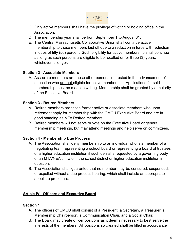

- C. Only active members shall have the privilege of voting or holding office in the Association.
- D. The membership year shall be from September 1 to August 31.
- E. The Central Massachusetts Collaborative Union shall continue active membership to those members laid off due to a reduction in force with reduction in dues of fifty (50) percent. Such eligibility for active membership shall continue as long as such persons are eligible to be recalled or for three (3) years, whichever is longer.

#### **Section 2 - Associate Members**

A. Associate members are those other persons interested in the advancement of education who are not eligible for active membership. Applications for said membership must be made in writing. Membership shall be granted by a majority of the Executive Board.

#### **Section 3 - Retired Members**

- A. Retired members are those former active or associate members who upon retirement apply for membership with the CMCU Executive Board and are in good standing as MTA Retired members.
- B. Retired members will not serve or vote on the Executive Board or general membership meetings, but may attend meetings and help serve on committees.

#### **Section 4 - Membership Due Process**

- A. The Association shall deny membership to an individual who is a member of a negotiating team representing a school board or representing a board of trustees of a higher education institution if such denial is requested by a governing body of an MTA/NEA affiliate in the school district or higher education institution in question.
- B. The Association shall guarantee that no member may be censured, suspended, or expelled without a due process hearing, which shall include an appropriate appellate procedure.

#### <span id="page-3-0"></span>**Article IV - Officers and Executive Board**

#### **Section 1**

- A. The officers of CMCU shall consist of a President, a Secretary, a Treasurer, a Membership Chairperson, a Communication Chair, and a Social Chair.
- B. The Board may create officer positions as it deems necessary to best serve the interests of the members. All positions so created shall be filled in accordance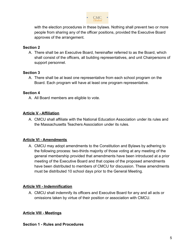

with the election procedures in these bylaws. Nothing shall prevent two or more people from sharing any of the officer positions, provided the Executive Board approves of the arrangement.

#### **Section 2**

A. There shall be an Executive Board, hereinafter referred to as the Board, which shall consist of the officers, all building representatives, and unit Chairpersons of support personnel.

#### **Section 3**

A. There shall be at least one representative from each school program on the Board. Each program will have at least one program representative.

#### **Section 4**

A. All Board members are eligible to vote.

#### <span id="page-4-0"></span>**Article V - Affiliation**

A. CMCU shall affiliate with the National Education Association under its rules and the Massachusetts Teachers Association under its rules.

#### <span id="page-4-1"></span>**Article VI - Amendments**

A. CMCU may adopt amendments to the Constitution and Bylaws by adhering to the following process: two-thirds majority of those voting at any meeting of the general membership provided that amendments have been introduced at a prior meeting of the Executive Board and that copies of the proposed amendments have been distributed to members of CMCU for discussion. These amendments must be distributed 10 school days prior to the General Meeting.

#### <span id="page-4-2"></span>**Article VII - Indemnification**

A. CMCU shall indemnify its officers and Executive Board for any and all acts or omissions taken by virtue of their position or association with CMCU.

#### <span id="page-4-3"></span>**Article VIII - Meetings**

#### **Section 1 - Rules and Procedures**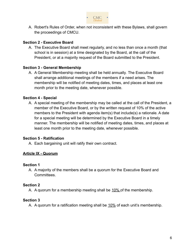

A. Robert's Rules of Order, when not inconsistent with these Bylaws, shall govern the proceedings of CMCU.

#### **Section 2 - Executive Board**

A. The Executive Board shall meet regularly, and no less than once a month (that school is in session) at a time designated by the Board, at the call of the President, or at a majority request of the Board submitted to the President.

#### **Section 3 - General Membership**

A. A General Membership meeting shall be held annually. The Executive Board shall arrange additional meetings of the members if a need arises. The membership will be notified of meeting dates, times, and places at least one month prior to the meeting date, whenever possible.

#### **Section 4 - Special**

A. A special meeting of the membership may be called at the call of the President, a member of the Executive Board, or by the written request of 10% of the active members to the President with agenda item(s) that include(s) a rationale. A date for a special meeting will be determined by the Executive Board in a timely manner. The membership will be notified of meeting dates, times, and places at least one month prior to the meeting date, whenever possible.

#### **Section 5 - Ratification**

A. Each bargaining unit will ratify their own contract.

#### <span id="page-5-0"></span>**Article IX - Quorum**

#### **Section 1**

A. A majority of the members shall be a quorum for the Executive Board and Committees.

#### **Section 2**

A. A quorum for a membership meeting shall be 10% of the membership.

#### **Section 3**

A. A quorum for a ratification meeting shall be 10% of each unit's membership.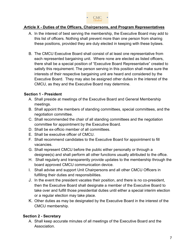

#### <span id="page-6-0"></span>**Article X - Duties of the Officers, Chairpersons, and Program Representatives**

- A. In the interest of best serving the membership, the Executive Board may add to this list of officers. Nothing shall prevent more than one person from sharing these positions, provided they are duly elected in keeping with these bylaws.
- B. The CMCU Executive Board shall consist of at least one representative from each represented bargaining unit. Where none are elected as listed officers, there shall be a special position of "Executive Board Representative" created to satisfy this requirement. The person serving in this position shall make sure the interests of their respective bargaining unit are heard and considered by the Executive Board. They may also be assigned other duties in the interest of the CMCU, as they and the Executive Board may determine.

#### **Section 1 - President**

- A. Shall preside at meetings of the Executive Board and General Membership meetings.
- B. Shall appoint the members of standing committees, special committees, and the negotiation committee.
- C. Shall recommended the chair of all standing committees and the negotiation committee for appointment by the Executive Board.
- D. Shall be ex-officio member of all committees.
- E. Shall be executive officer of CMCU.
- F. Shall recommend candidates to the Executive Board for appointment to fill vacancies.
- G. Shall represent CMCU before the public either personally or through a designee(s) and shall perform all other functions usually attributed to the office.
- H. Shall regularly and transparently provide updates to the membership through the board approved CMCU communication device.
- I. Shall advise and support Unit Chairpersons and all other CMCU Officers in fulfilling their duties and responsibilities.
- J. In the event the president vacates their position, and there is no co-president, then the Executive Board shall designate a member of the Executive Board to take over and fulfill those presidential duties until either a special interim election or a regular election may take place.
- K. Other duties as may be designated by the Executive Board in the interest of the CMCU membership.

#### **Section 2 - Secretary**

A. Shall keep accurate minutes of all meetings of the Executive Board and the Association.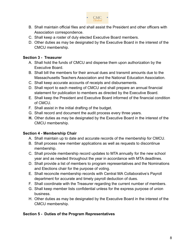

- B. Shall maintain official files and shall assist the President and other officers with Association correspondence.
- C. Shall keep a roster of duly elected Executive Board members.
- D. Other duties as may be designated by the Executive Board in the interest of the CMCU membership.

#### **Section 3 - Treasurer**

- A. Shall hold the funds of CMCU and disperse them upon authorization by the Executive Board.
- B. Shall bill the members for their annual dues and transmit amounts due to the Massachusetts Teachers Association and the National Education Association.
- C. Shall keep accurate accounts of receipts and disbursements.
- D. Shall report to each meeting of CMCU and shall prepare an annual financial statement for publication to members as directed by the Executive Board.
- E. Shall keep the President and Executive Board informed of the financial condition of CMCU.
- F. Shall assist in the initial drafting of the budget.
- G. Shall record and document the audit process every three years.
- **H.** Other duties as may be designated by the Executive Board in the interest of the CMCU membership.

#### **Section 4 - Membership Chair**

- A. Shall maintain up to date and accurate records of the membership for CMCU.
- B. Shall process new member applications as well as requests to discontinue membership.
- C. Shall provide membership record updates to MTA annually for the new school year and as needed throughout the year in accordance with MTA deadlines.
- D. Shall provide a list of members to program representatives and the Nominations and Elections chair for the purpose of voting.
- E. Shall reconcile membership records with Central MA Collaborative's Payroll department for accurate and timely payroll deduction of dues.
- F. Shall coordinate with the Treasurer regarding the current number of members.
- G. Shall keep member lists confidential unless for the express purpose of union business.
- H. Other duties as may be designated by the Executive Board in the interest of the CMCU membership.

#### **Section 5 - Duties of the Program Representatives**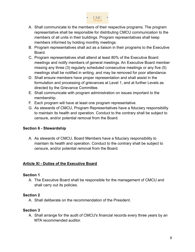

- A. Shall communicate to the members of their respective programs. The program representative shall be responsible for distributing CMCU communication to the members of all units in their buildings. Program representatives shall keep members informed by holding monthly meetings.
- B. Program representatives shall act as a liaison in their programs to the Executive Board.
- C. Program representatives shall attend at least 80% of the Executive Board meetings and notify members of general meetings. An Executive Board member missing any three (3) regularly scheduled consecutive meetings or any five (5) meetings shall be notified in writing, and may be removed for poor attendance.
- D. Shall ensure members have proper representation and shall assist in the formulation and processing of grievances at Level 1, and at further Levels as directed by the Grievance Committee.
- E. Shall communicate with program administration on issues important to the membership.
- F. Each program will have at least one program representative.
- G. As stewards of CMCU, Program Representatives have a fiduciary responsibility to maintain its health and operation. Conduct to the contrary shall be subject to censure, and/or potential removal from the Board.

#### **Section 6 - Stewardship**

A. As stewards of CMCU, Board Members have a fiduciary responsibility to maintain its health and operation. Conduct to the contrary shall be subject to censure, and/or potential removal from the Board.

#### <span id="page-8-0"></span>**Article XI - Duties of the Executive Board**

#### **Section 1**

A. The Executive Board shall be responsible for the management of CMCU and shall carry out its policies.

#### **Section 2**

A. Shall deliberate on the recommendation of the President.

#### **Section 3**

A. Shall arrange for the audit of CMCU's financial records every three years by an MTA recommended auditor.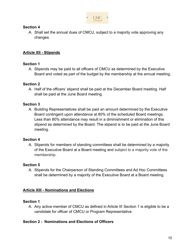

#### **Section 4**

A. Shall set the annual dues of CMCU, subject to a majority vote approving any changes.

#### <span id="page-9-0"></span>**Article XII - Stipends**

#### **Section 1**

A. Stipends may be paid to all officers of CMCU as determined by the Executive Board and voted as part of the budget by the membership at the annual meeting.

#### **Section 2**

A. Half of the officers' stipend shall be paid at the December Board meeting. Half shall be paid at the June Board meeting.

#### **Section 3**

A. Building Representatives shall be paid an amount determined by the Executive Board contingent upon attendance at 80% of the scheduled Board meetings. Less than 80% attendance may result in a diminishment or elimination of this stipend as determined by the Board. The stipend is to be paid at the June Board meeting.

#### **Section 4**

A. Stipends for members of standing committees shall be determined by a majority of the Executive Board at a Board meeting and subject to a majority vote of the membership.

#### **Section 5**

A. Stipends for the Chairperson of Standing Committees and Ad Hoc Committees shall be determined by a majority of the Executive Board at a Board meeting.

#### <span id="page-9-1"></span>**Article XIII - Nominations and Elections**

#### **Section 1**

A. Any active member of CMCU as defined in Article III Section 1 is eligible to be a candidate for officer of CMCU or Program Representative.

#### **Section 2 - Nominations and Elections of Officers**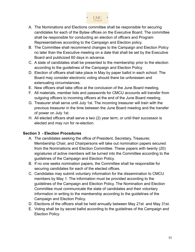

- A. The Nominations and Elections committee shall be responsible for securing candidates for each of the Bylaw offices on the Executive Board. The committee shall be responsible for conducting an election of officers and Program Representatives according to the Campaign and Election policy.
- B. The Committee shall recommend changes to the Campaign and Election Policy no later than the Executive meeting on a date that shall be set by the Executive Board and publicized 60 days in advance.
- C. A slate of candidates shall be presented to the membership prior to the election according to the guidelines of the Campaign and Election Policy.
- D. Election of officers shall take place in May by paper ballot in each school. The Board may consider electronic voting should there be unforeseen and extenuating circumstances.
- E. New officers shall take office at the conclusion of the June Board meeting.
- F. All materials, member lists and passwords for CMCU accounts will transfer from outgoing officers to incoming officers at the end of the June Board meeting.
- G. Treasurer shall serve until July 1st. The incoming treasurer will train with the previous treasurer in the time between the June Board meeting and the transfer of power on July 1st.
- H. All elected officers shall serve a two (2) year term, or until their successor is elected and may run for re-election.

#### **Section 3 - Election Procedures**

- A. The candidates seeking the office of President, Secretary, Treasurer, Membership Chair, and Chairpersons will take out nomination papers secured from the Nominations and Election Committee. These papers with twenty (20) signatures of active members will be turned into the Committee according to the guidelines of the Campaign and Election Policy.
- B. If no one seeks nomination papers, the Committee shall be responsible for securing candidates for each of the elected offices.
- C. Candidates may submit voluntary information for the dissemination to CMCU members by May 1. The information must be provided according to the guidelines of the Campaign and Election Policy. The Nomination and Election Committee must communicate the slate of candidates and their voluntary information in writing to the membership according to the guidelines of the Campaign and Election Policy.
- D. Elections of the officers shall be held annually between May 21st and May 31st.
- E. Voting shall be by secret ballot according to the guidelines of the Campaign and Election Policy.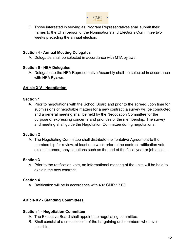

F. Those interested in serving as Program Representatives shall submit their names to the Chairperson of the Nominations and Elections Committee two weeks preceding the annual election.

#### **Section 4 - Annual Meeting Delegates**

A. Delegates shall be selected in accordance with MTA bylaws.

#### **Section 5 - NEA Delegates**

A. Delegates to the NEA Representative Assembly shall be selected in accordance with NEA Bylaws.

#### <span id="page-11-0"></span>**Article XIV - Negotiation**

#### **Section 1**

A. Prior to negotiations with the School Board and prior to the agreed upon time for submissions of negotiable matters for a new contract, a survey will be conducted and a general meeting shall be held by the Negotiation Committee for the purpose of expressing concerns and priorities of the membership. The survey and meeting shall guide the Negotiation Committee during negotiations.

#### **Section 2**

A. The Negotiating Committee shall distribute the Tentative Agreement to the membership for review, at least one week prior to the contract ratification vote except in emergency situations such as the end of the fiscal year or job action. .

#### **Section 3**

A. Prior to the ratification vote, an informational meeting of the units will be held to explain the new contract.

#### **Section 4**

A. Ratification will be in accordance with 402 CMR 17.03.

#### <span id="page-11-1"></span>**Article XV - Standing Committees**

#### **Section 1 - Negotiation Committee**

- A. The Executive Board shall appoint the negotiating committee.
- B. Shall consist of a cross section of the bargaining unit members whenever possible.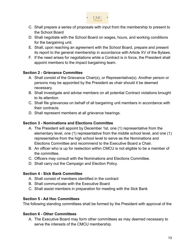

- C. Shall prepare a series of proposals with input from the membership to present to the School Board
- D. Shall negotiate with the School Board on wages, hours, and working conditions for the bargaining unit.
- E. Shall, upon reaching an agreement with the School Board, prepare and present its report to the general membership in accordance with Article XV of the Bylaws.
- F. If the need arises for negotiations while a Contract is in force, the President shall appoint members to the impact bargaining team.

#### **Section 2 - Grievance Committee**

- A. Shall consist of the Grievance Chair(s), or Representative(s). Another person or persons may be appointed by the President as chair should it be deemed necessary.
- B. Shall investigate and advise members on all potential Contract violations brought to its attention.
- C. Shall file grievances on behalf of all bargaining unit members in accordance with their contracts.
- D. Shall represent members at all grievance hearings.

#### **Section 3 - Nominations and Elections Committee**

- A. The President will appoint by December 1st, one (1) representative from the elementary level, one (1) representative from the middle school level, and one (1) representative from the high school level to serve as the Nominations and Elections Committee and recommend to the Executive Board a Chair.
- B. An officer who is up for reelection within CMCU is not eligible to be a member of the committee.
- C. Officers may consult with the Nominations and Elections Committee.
- D. Shall carry out the Campaign and Election Policy.

#### **Section 4 - Sick Bank Committee**

- A. Shall consist of members identified in the contract
- B. Shall communicate with the Executive Board
- C. Shall assist members in preparation for meeting with the Sick Bank

#### **Section 5 - Ad Hoc Committees**

The following standing committees shall be formed by the President with approval of the

#### **Section 6 - Other Committees**

A. The Executive Board may form other committees as may deemed necessary to serve the interests of the CMCU membership.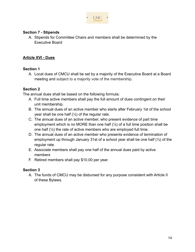

#### **Section 7 - Stipends**

A. Stipends for Committee Chairs and members shall be determined by the Executive Board

#### <span id="page-13-0"></span>**Article XVI - Dues**

#### **Section 1**

A. Local dues of CMCU shall be set by a majority of the Executive Board at a Board meeting and subject to a majority vote of the membership.

#### **Section 2**

The annual dues shall be based on the following formula:

- A. Full time active members shall pay the full amount of dues contingent on their unit membership.
- B. The annual dues of an active member who starts after February 1st of the school year shall be one half  $(\frac{1}{2})$  of the regular rate.
- C. The annual dues of an active member, who present evidence of part time employment which is no MORE than one half  $(\frac{1}{2})$  of a full time position shall be one half  $(\frac{1}{2})$  the rate of active members who are employed full time.
- D. The annual dues of an active member who presents evidence of termination of employment up through January 31st of a school year shall be one half (½) of the regular rate.
- E. Associate members shall pay one half of the annual dues paid by active members
- F. Retired members shall pay \$10.00 per year.

#### **Section 3**

A. The funds of CMCU may be disbursed for any purpose consistent with Article II of these Bylaws.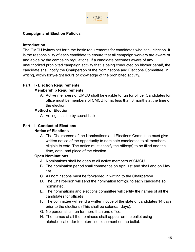

#### <span id="page-14-0"></span>**Campaign and Election Policies**

#### **Introduction**

The CMCU bylaws set forth the basic requirements for candidates who seek election. It is the responsibility of each candidate to ensure that all campaign workers are aware of and abide by the campaign regulations. If a candidate becomes aware of any unauthorized prohibited campaign activity that is being conducted on his/her behalf, the candidate shall notify the Chairperson of the Nominations and Elections Committee, in writing, within forty-eight hours of knowledge of the prohibited activity.

#### **Part II - Election Requirements**

#### **I. Membership Requirements**

A. Active members of CMCU shall be eligible to run for office. Candidates for office must be members of CMCU for no less than 3 months at the time of the election.

#### **II. Method of Election**

A. Voting shall be by secret ballot.

#### **Part III - Conduct of Elections**

#### **I. Notice of Elections**

A. The Chairperson of the Nominations and Elections Committee must give written notice of the opportunity to nominate candidates to all members eligible to vote. The notice must specify the office(s) to be filled and the time, date, and place of the election.

#### **II. Open Nominations**

- A. Nominations shall be open to all active members of CMCU.
- B. The nomination period shall commence on April 1st and shall end on May 1st.
- C. All nominations must be forwarded in writing to the Chairperson.
- D. The Chairperson will send the nomination form(s) to each candidate so nominated.
- E. The nominations and elections committee will certify the names of all the candidates for office(s).
- F. The committee will send a written notice of the slate of candidates 14 days prior to the elections (This shall be calendar days).
- G. No person shall run for more than one office.
- H. The names of all the nominees shall appear on the ballot using alphabetical order to determine placement on the ballot.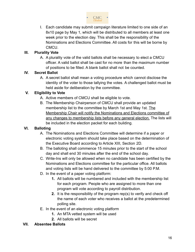

I. Each candidate may submit campaign literature limited to one side of an 8x10 page by May 1, which will be distributed to all members at least one week prior to the election day. This shall be the responsibility of the Nominations and Elections Committee. All costs for this will be borne by CMCU.

#### **III. Plurality Vote**

A. A plurality vote of the valid ballots shall be necessary to elect a CMCU officer. A valid ballot shall be cast for no more than the maximum number of positions to be filled. A blank ballot shall not be counted.

#### **IV. Secret Ballot**

A. A secret ballot shall mean a voting procedure which cannot disclose the identity of the voter to those tallying the votes. A challenged ballot must be held aside for deliberation by the committee.

#### **V. Eligibility to Vote**

- A. Active members of CMCU shall be eligible to vote.
- B. The Membership Chairperson of CMCU shall provide an updated membership list to the committee by March 1st and May 1st. The Membership Chair will notify the Nominations and Elections committee of any changes to membership lists before any general election. The lists will be included in the election packet for each building.

#### **VI. Balloting**

- A. The Nominations and Elections Committee will determine if a paper or electronic voting system should take place based on the determination of the Executive Board according to Article XIII, Section 2D.
- B. The balloting shall commence 15 minutes prior to the start of the school day and shall end 30 minutes after the end of the school day.
- C. Write-Ins will only be allowed when no candidate has been certified by the Nominations and Elections committee for the particular office. All ballots and voting lists will be hand delivered to the committee by 5:00 P.M.
- D. In the event of a paper voting platform:
	- **1.** All ballots will be numbered and included with the membership list for each program. People who are assigned to more than one program will vote according to payroll distribution.
	- **2.** It is the responsibility of the program rep(s) to verify and check off the name of each voter who receives a ballot at the predetermined polling site.
- E. In the event of an electronic voting platform
	- **1.** An MTA vetted system will be used
	- **2.** All ballots will be secret

#### **VII. Absentee Ballots**